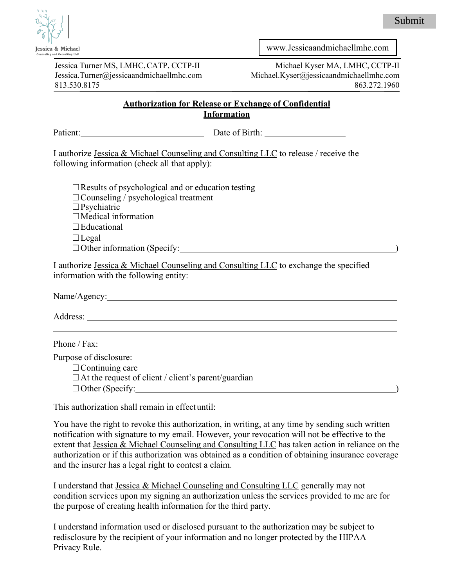

Jessica Turner MS, LMHC,CATP, CCTP-II [Jessica.Turner@jessicaandmichael](mailto:Jessica.Turner@jessicaandmichael.com)lmhc.com 813.530.8175

[www.Jessicaandmichaellmhc.com](http://www.jessicaandmichaellmhc.com/)

Michael Kyser MA, LMHC, CCTP-II Mic[hael.Kyser@jessicaandmichael](mailto:Michael.Kyser@jessicaandmichael.com)lmhc.com 863.272.1960

## **Authorization for Release or Exchange of Confidential Information**

| Patient: Date of Birth: Date of Birth:                                                                                                                                                            |                                                                                                                                                                                                    |
|---------------------------------------------------------------------------------------------------------------------------------------------------------------------------------------------------|----------------------------------------------------------------------------------------------------------------------------------------------------------------------------------------------------|
| following information (check all that apply):                                                                                                                                                     | I authorize Jessica & Michael Counseling and Consulting LLC to release / receive the                                                                                                               |
| $\Box$ Results of psychological and or education testing<br>$\Box$ Counseling / psychological treatment<br>$\Box$ Psychiatric<br>$\Box$ Medical information<br>$\Box$ Educational<br>$\Box$ Legal |                                                                                                                                                                                                    |
| information with the following entity:                                                                                                                                                            | I authorize Jessica & Michael Counseling and Consulting LLC to exchange the specified                                                                                                              |
|                                                                                                                                                                                                   |                                                                                                                                                                                                    |
|                                                                                                                                                                                                   |                                                                                                                                                                                                    |
|                                                                                                                                                                                                   | <u> 1989 - Johann Stoff, deutscher Stoffen und der Stoffen und der Stoffen und der Stoffen und der Stoffen und der</u>                                                                             |
| Purpose of disclosure:<br>$\Box$ Continuing care<br>$\Box$ At the request of client / client's parent/guardian                                                                                    | □ Other (Specify: <u>University: University: University: University: University: University: University:</u>                                                                                       |
| This authorization shall remain in effectuntil: ________________________________                                                                                                                  |                                                                                                                                                                                                    |
|                                                                                                                                                                                                   | You have the right to revoke this authorization, in writing, at any time by sending such written<br>notification with gianotype to my amail However, your peye sation will not be effective to the |

notification with signature to my email. However, your revocation will not be effective to the extent that Jessica & Michael Counseling and Consulting LLC has taken action in reliance on the authorization or if this authorization was obtained as a condition of obtaining insurance coverage and the insurer has a legal right to contest a claim.

I understand that Jessica & Michael Counseling and Consulting LLC generally may not condition services upon my signing an authorization unless the services provided to me are for the purpose of creating health information for the third party.

I understand information used or disclosed pursuant to the authorization may be subject to redisclosure by the recipient of your information and no longer protected by the HIPAA Privacy Rule.